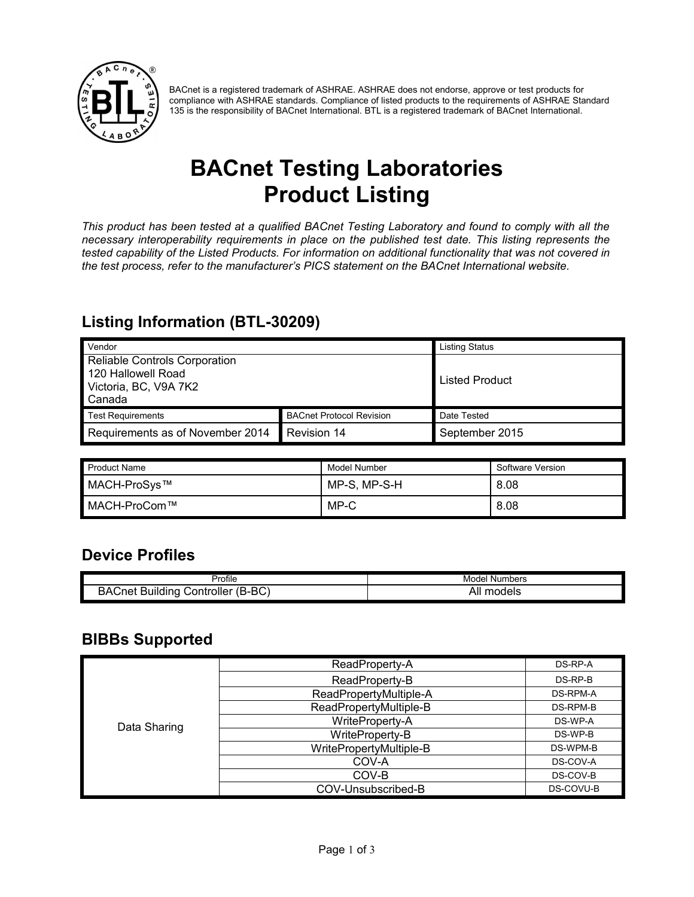

BACnet is a registered trademark of ASHRAE. ASHRAE does not endorse, approve or test products for compliance with ASHRAE standards. Compliance of listed products to the requirements of ASHRAE Standard 135 is the responsibility of BACnet International. BTL is a registered trademark of BACnet International.

# **BACnet Testing Laboratories Product Listing**

*This product has been tested at a qualified BACnet Testing Laboratory and found to comply with all the necessary interoperability requirements in place on the published test date. This listing represents the tested capability of the Listed Products. For information on additional functionality that was not covered in the test process, refer to the manufacturer's PICS statement on the BACnet International website.*

#### **Listing Information (BTL-30209)**

| Vendor                               |                                 | <b>Listing Status</b> |
|--------------------------------------|---------------------------------|-----------------------|
| <b>Reliable Controls Corporation</b> |                                 |                       |
| 120 Hallowell Road                   |                                 | <b>Listed Product</b> |
| Victoria, BC, V9A 7K2                |                                 |                       |
| Canada                               |                                 |                       |
| <b>Test Requirements</b>             | <b>BACnet Protocol Revision</b> | Date Tested           |
| Requirements as of November 2014     | Revision 14                     | September 2015        |

| <b>Product Name</b> | Model Number | Software Version |
|---------------------|--------------|------------------|
| MACH-ProSys™        | MP-S, MP-S-H | 8.08             |
| ' MACH-ProCom™      | MP-C         | 8.08             |

#### **Device Profiles**

| $\sim$                                              | Numbers       |
|-----------------------------------------------------|---------------|
| Profile                                             | Model         |
| $(B-BC)$<br>Controller<br>Buildina<br><b>BACnet</b> | models<br>All |

#### **BIBBs Supported**

|              | ReadProperty-A          | DS-RP-A   |
|--------------|-------------------------|-----------|
|              | ReadProperty-B          | DS-RP-B   |
|              | ReadPropertyMultiple-A  | DS-RPM-A  |
|              | ReadPropertyMultiple-B  | DS-RPM-B  |
| Data Sharing | WriteProperty-A         | DS-WP-A   |
|              | WriteProperty-B         | DS-WP-B   |
|              | WritePropertyMultiple-B | DS-WPM-B  |
|              | COV-A                   | DS-COV-A  |
|              | COV-B                   | DS-COV-B  |
|              | COV-Unsubscribed-B      | DS-COVU-B |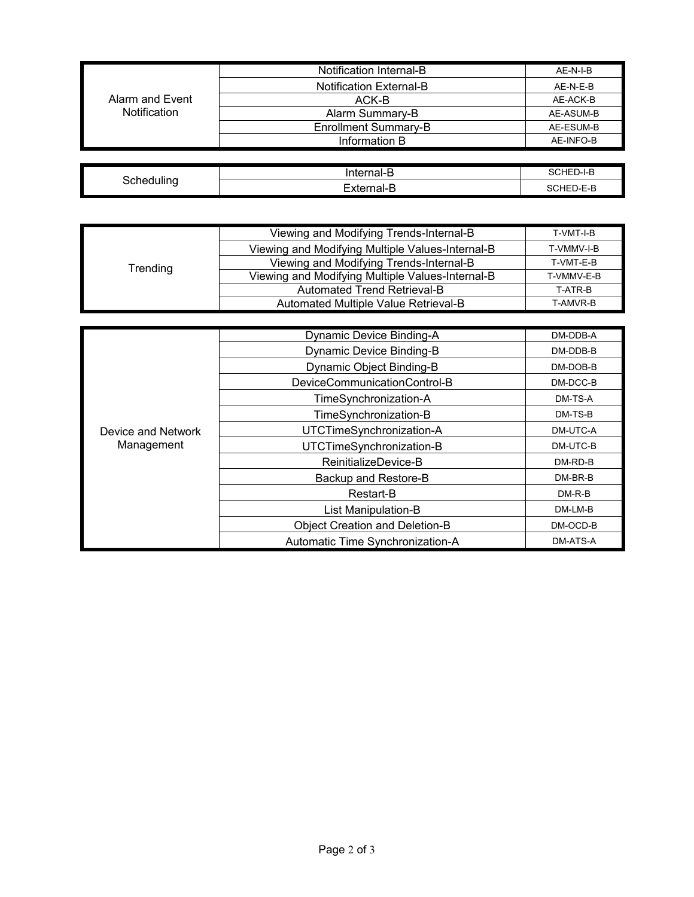|                 | Notification Internal-B        | AE-N-I-B  |
|-----------------|--------------------------------|-----------|
|                 | <b>Notification External-B</b> | AE-N-E-B  |
| Alarm and Event | ACK-B                          | AE-ACK-B  |
| Notification    | Alarm Summary-B                | AE-ASUM-B |
|                 | <b>Enrollment Summary-B</b>    | AE-ESUM-B |
|                 | Information B                  | AE-INFO-B |
|                 |                                |           |

| . .        | Internal-F<br>◡ | oCHED- <sup>L</sup> P<br>D-1-B |
|------------|-----------------|--------------------------------|
| 3chedulino | -xternal-L      | <b>CHED-E-B</b><br>. אר        |

| Trending | Viewing and Modifying Trends-Internal-B          | T-VMT-I-B  |
|----------|--------------------------------------------------|------------|
|          | Viewing and Modifying Multiple Values-Internal-B | T-VMMV-I-B |
|          | Viewing and Modifying Trends-Internal-B          | T-VMT-E-B  |
|          | Viewing and Modifying Multiple Values-Internal-B | T-VMMV-E-B |
|          | Automated Trend Retrieval-B                      | T-ATR-B    |
|          | Automated Multiple Value Retrieval-B             | T-AMVR-B   |

|                                  | <b>Dynamic Device Binding-A</b>       | DM-DDB-A |
|----------------------------------|---------------------------------------|----------|
|                                  | <b>Dynamic Device Binding-B</b>       | DM-DDB-B |
|                                  | Dynamic Object Binding-B              | DM-DOB-B |
|                                  | DeviceCommunicationControl-B          | DM-DCC-B |
|                                  | TimeSynchronization-A                 | DM-TS-A  |
|                                  | TimeSynchronization-B                 | DM-TS-B  |
| Device and Network<br>Management | UTCTimeSynchronization-A              | DM-UTC-A |
|                                  | UTCTimeSynchronization-B              | DM-UTC-B |
|                                  | ReinitializeDevice-B                  | DM-RD-B  |
|                                  | Backup and Restore-B                  | DM-BR-B  |
|                                  | Restart-B                             | $DM-R-B$ |
|                                  | List Manipulation-B                   | DM-LM-B  |
|                                  | <b>Object Creation and Deletion-B</b> | DM-OCD-B |
|                                  | Automatic Time Synchronization-A      | DM-ATS-A |